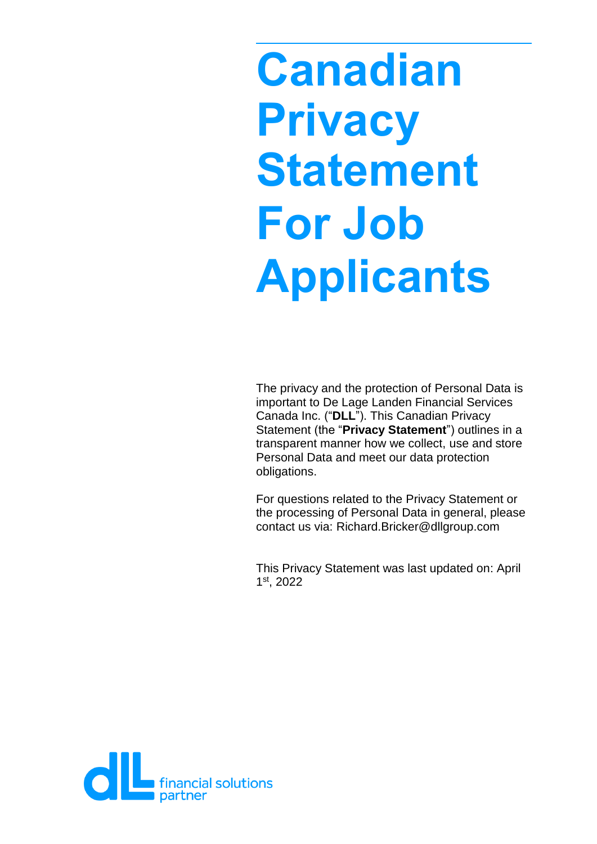# **Canadian Privacy Statement For Job Applicants**

The privacy and the protection of Personal Data is important to De Lage Landen Financial Services Canada Inc. ("**DLL**"). This Canadian Privacy Statement (the "**Privacy Statement**") outlines in a transparent manner how we collect, use and store Personal Data and meet our data protection obligations.

For questions related to the Privacy Statement or the processing of Personal Data in general, please contact us via: Richard.Bricker@dllgroup.com

This Privacy Statement was last updated on: April 1 st , 2022

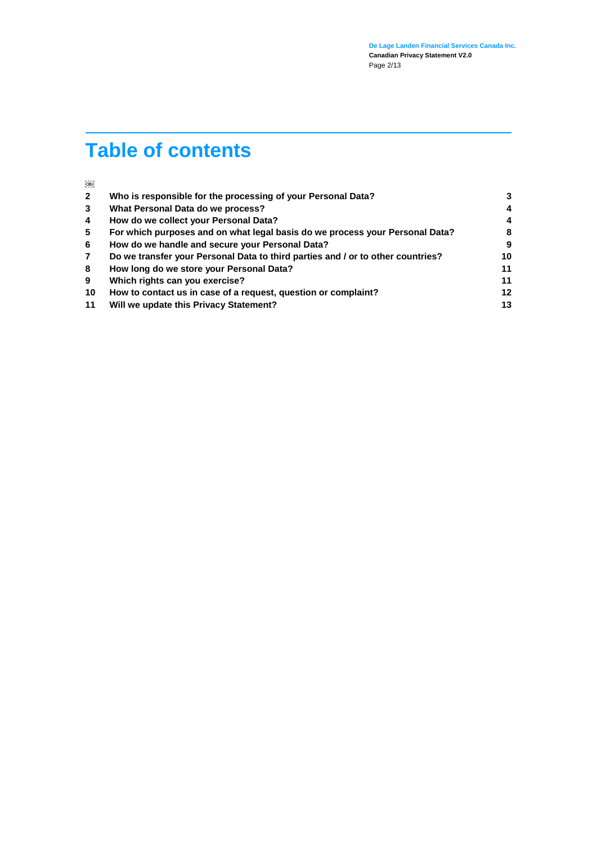# **Table of contents**

| OBJ            |                                                                                 |    |
|----------------|---------------------------------------------------------------------------------|----|
| $\overline{2}$ | Who is responsible for the processing of your Personal Data?                    | 3  |
| 3              | What Personal Data do we process?                                               | 4  |
| 4              | How do we collect your Personal Data?                                           | 4  |
| 5              | For which purposes and on what legal basis do we process your Personal Data?    | 8  |
| -6             | How do we handle and secure your Personal Data?                                 | 9  |
| $\overline{7}$ | Do we transfer your Personal Data to third parties and / or to other countries? | 10 |
| 8              | How long do we store your Personal Data?                                        | 11 |
| 9              | Which rights can you exercise?                                                  | 11 |
| 10             | How to contact us in case of a request, question or complaint?                  | 12 |
| 11             | Will we update this Privacy Statement?                                          | 13 |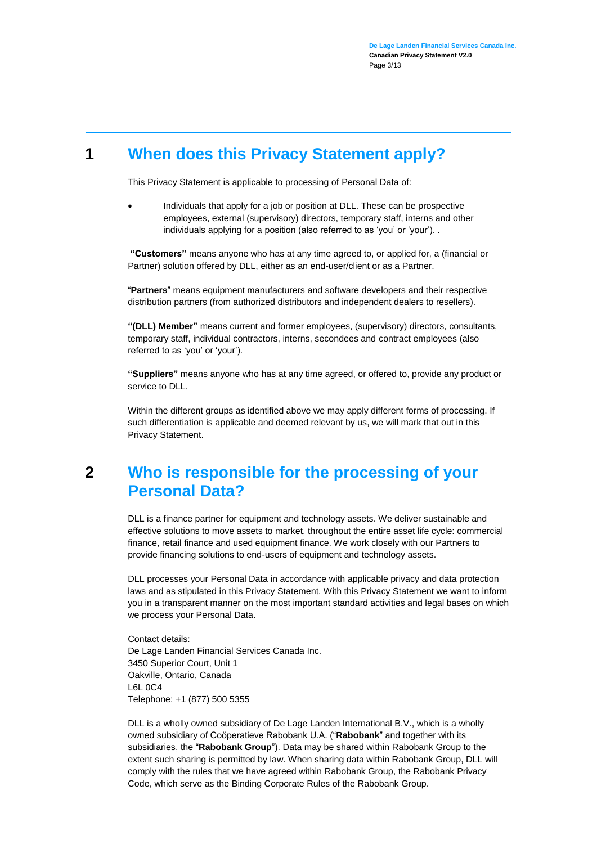## **1 When does this Privacy Statement apply?**

This Privacy Statement is applicable to processing of Personal Data of:

 Individuals that apply for a job or position at DLL. These can be prospective employees, external (supervisory) directors, temporary staff, interns and other individuals applying for a position (also referred to as 'you' or 'your'). .

**"Customers"** means anyone who has at any time agreed to, or applied for, a (financial or Partner) solution offered by DLL, either as an end-user/client or as a Partner.

"**Partners**" means equipment manufacturers and software developers and their respective distribution partners (from authorized distributors and independent dealers to resellers).

**"(DLL) Member"** means current and former employees, (supervisory) directors, consultants, temporary staff, individual contractors, interns, secondees and contract employees (also referred to as 'you' or 'your').

**"Suppliers"** means anyone who has at any time agreed, or offered to, provide any product or service to DLL.

Within the different groups as identified above we may apply different forms of processing. If such differentiation is applicable and deemed relevant by us, we will mark that out in this Privacy Statement.

### <span id="page-2-0"></span>**2 Who is responsible for the processing of your Personal Data?**

DLL is a finance partner for equipment and technology assets. We deliver sustainable and effective solutions to move assets to market, throughout the entire asset life cycle: commercial finance, retail finance and used equipment finance. We work closely with our Partners to provide financing solutions to end-users of equipment and technology assets.

DLL processes your Personal Data in accordance with applicable privacy and data protection laws and as stipulated in this Privacy Statement. With this Privacy Statement we want to inform you in a transparent manner on the most important standard activities and legal bases on which we process your Personal Data.

Contact details: De Lage Landen Financial Services Canada Inc. 3450 Superior Court, Unit 1 Oakville, Ontario, Canada L6L 0C4 Telephone: +1 (877) 500 5355

DLL is a wholly owned subsidiary of De Lage Landen International B.V., which is a wholly owned subsidiary of Coöperatieve Rabobank U.A. ("**Rabobank**" and together with its subsidiaries, the "**Rabobank Group**"). Data may be shared within Rabobank Group to the extent such sharing is permitted by law. When sharing data within Rabobank Group, DLL will comply with the rules that we have agreed within Rabobank Group, the [Rabobank Privacy](https://www.rabobank.nl/images/privacy-code-nl_29958964.pdf)  [Code,](https://www.rabobank.nl/images/privacy-code-nl_29958964.pdf) which serve as the Binding Corporate Rules of the Rabobank Group.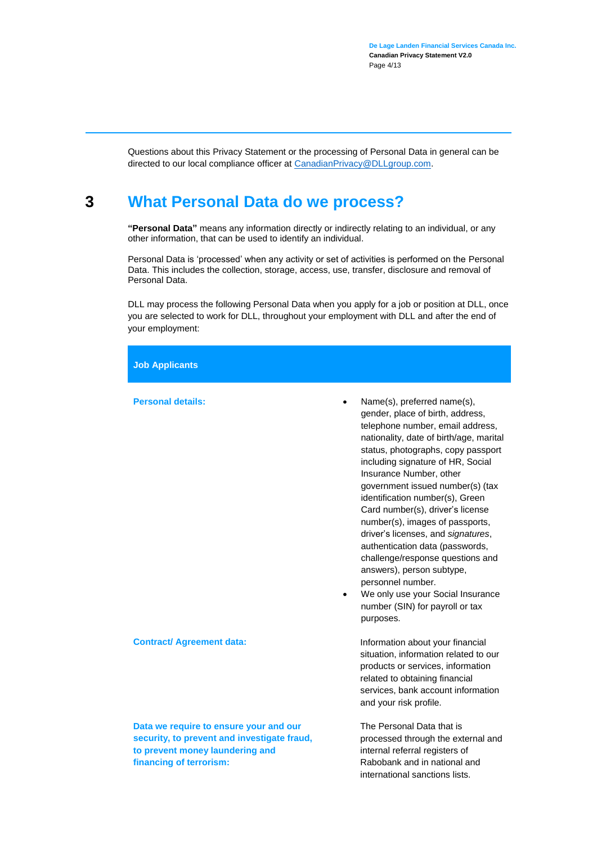Questions about this Privacy Statement or the processing of Personal Data in general can be directed to our local compliance officer a[t CanadianPrivacy@DLLgroup.com.](mailto:CanadianPrivacy@DLLgroup.com)

#### **3 What Personal Data do we process?**

<span id="page-3-0"></span>**"Personal Data"** means any information directly or indirectly relating to an individual, or any other information, that can be used to identify an individual.

Personal Data is 'processed' when any activity or set of activities is performed on the Personal Data. This includes the collection, storage, access, use, transfer, disclosure and removal of Personal Data.

DLL may process the following Personal Data when you apply for a job or position at DLL, once you are selected to work for DLL, throughout your employment with DLL and after the end of your employment:

**Job Applicants**

**Personal details:**  Name(s), preferred name(s),

|                                                                                                                                                     | gender, place of birth, address,<br>telephone number, email address,<br>nationality, date of birth/age, marital<br>status, photographs, copy passport<br>including signature of HR, Social<br>Insurance Number, other<br>government issued number(s) (tax<br>identification number(s), Green<br>Card number(s), driver's license<br>number(s), images of passports,<br>driver's licenses, and signatures,<br>authentication data (passwords,<br>challenge/response questions and<br>answers), person subtype,<br>personnel number.<br>We only use your Social Insurance<br>$\bullet$<br>number (SIN) for payroll or tax<br>purposes. |
|-----------------------------------------------------------------------------------------------------------------------------------------------------|--------------------------------------------------------------------------------------------------------------------------------------------------------------------------------------------------------------------------------------------------------------------------------------------------------------------------------------------------------------------------------------------------------------------------------------------------------------------------------------------------------------------------------------------------------------------------------------------------------------------------------------|
| <b>Contract/ Agreement data:</b>                                                                                                                    | Information about your financial<br>situation, information related to our<br>products or services, information<br>related to obtaining financial<br>services, bank account information<br>and your risk profile.                                                                                                                                                                                                                                                                                                                                                                                                                     |
| Data we require to ensure your and our<br>security, to prevent and investigate fraud,<br>to prevent money laundering and<br>financing of terrorism: | The Personal Data that is<br>processed through the external and<br>internal referral registers of<br>Rabobank and in national and<br>international sanctions lists.                                                                                                                                                                                                                                                                                                                                                                                                                                                                  |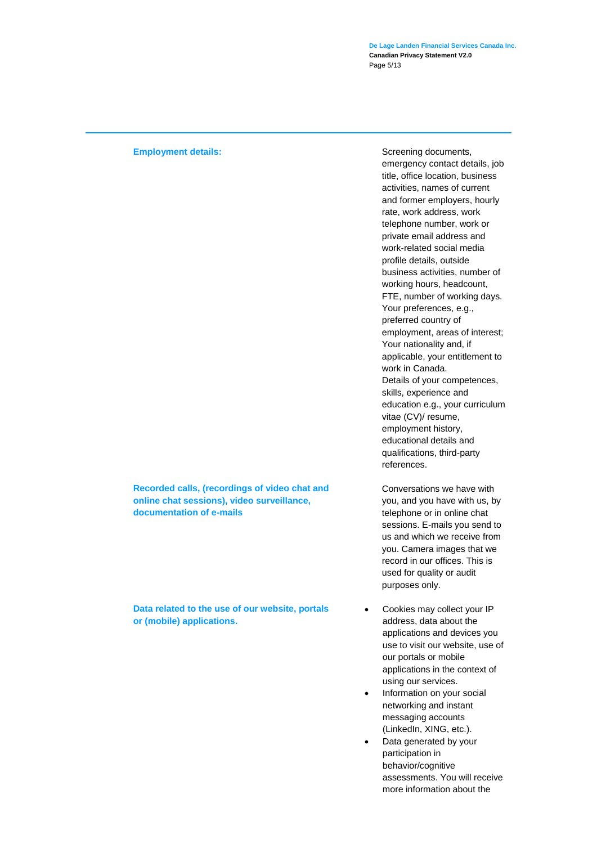**De Lage Landen Financial Services Canada Inc. Canadian Privacy Statement V2.0** Page 5/13

**Recorded calls, (recordings of video chat and online chat sessions), video surveillance, documentation of e-mails**

**Data related to the use of our website, portals or (mobile) applications.** 

**Employment details: Screening documents, and the series of the series of the Screening documents, and the series of the series of the series of the series of the series of the series of the series of the series of the s** emergency contact details, job title, office location, business activities, names of current and former employers, hourly rate, work address, work telephone number, work or private email address and work-related social media profile details, outside business activities, number of working hours, headcount, FTE, number of working days. Your preferences, e.g., preferred country of employment, areas of interest; Your nationality and, if applicable, your entitlement to work in Canada. Details of your competences, skills, experience and education e.g., your curriculum vitae (CV)/ resume, employment history, educational details and qualifications, third-party references.

> Conversations we have with you, and you have with us, by telephone or in online chat sessions. E-mails you send to us and which we receive from you. Camera images that we record in our offices. This is used for quality or audit purposes only.

- Cookies may collect your IP address, data about the applications and devices you use to visit our website, use of our portals or mobile applications in the context of using our services.
- Information on your social networking and instant messaging accounts (LinkedIn, XING, etc.).
- Data generated by your participation in behavior/cognitive assessments. You will receive more information about the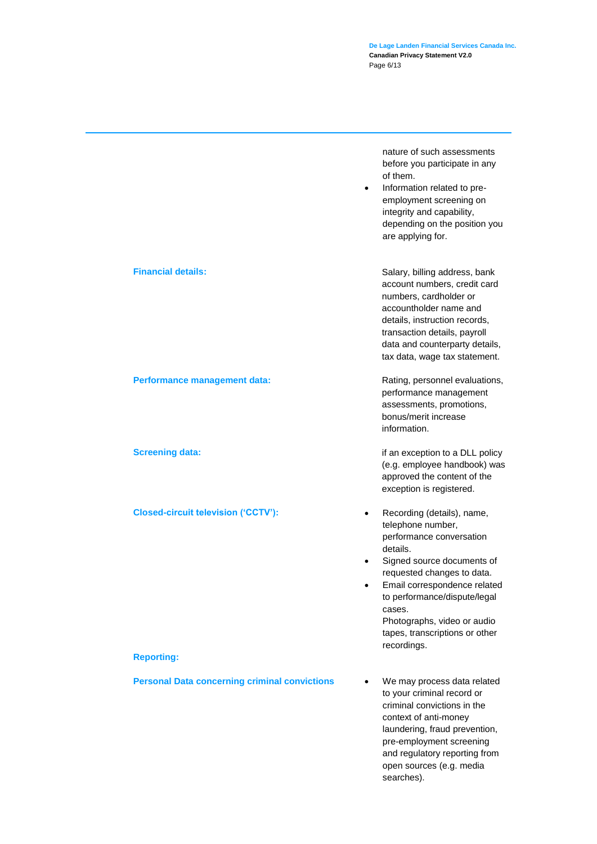**De Lage Landen Financial Services Canada Inc. Canadian Privacy Statement V2.0** Page 6/13

|                                                      | nature of such assessments<br>before you participate in any<br>of them.<br>Information related to pre-<br>$\bullet$<br>employment screening on<br>integrity and capability,<br>depending on the position you<br>are applying for.                                                                                                    |
|------------------------------------------------------|--------------------------------------------------------------------------------------------------------------------------------------------------------------------------------------------------------------------------------------------------------------------------------------------------------------------------------------|
| <b>Financial details:</b>                            | Salary, billing address, bank<br>account numbers, credit card<br>numbers, cardholder or<br>accountholder name and<br>details, instruction records,<br>transaction details, payroll<br>data and counterparty details,<br>tax data, wage tax statement.                                                                                |
| Performance management data:                         | Rating, personnel evaluations,<br>performance management<br>assessments, promotions,<br>bonus/merit increase<br>information.                                                                                                                                                                                                         |
| <b>Screening data:</b>                               | if an exception to a DLL policy<br>(e.g. employee handbook) was<br>approved the content of the<br>exception is registered.                                                                                                                                                                                                           |
| <b>Closed-circuit television ('CCTV'):</b>           | Recording (details), name,<br>$\bullet$<br>telephone number,<br>performance conversation<br>details.<br>Signed source documents of<br>٠<br>requested changes to data.<br>Email correspondence related<br>٠<br>to performance/dispute/legal<br>cases.<br>Photographs, video or audio<br>tapes, transcriptions or other<br>recordings. |
| <b>Reporting:</b>                                    |                                                                                                                                                                                                                                                                                                                                      |
| <b>Personal Data concerning criminal convictions</b> | We may process data related<br>to your criminal record or<br>criminal convictions in the<br>context of anti-money<br>laundering, fraud prevention,<br>pre-employment screening<br>and regulatory reporting from<br>open sources (e.g. media<br>searches).                                                                            |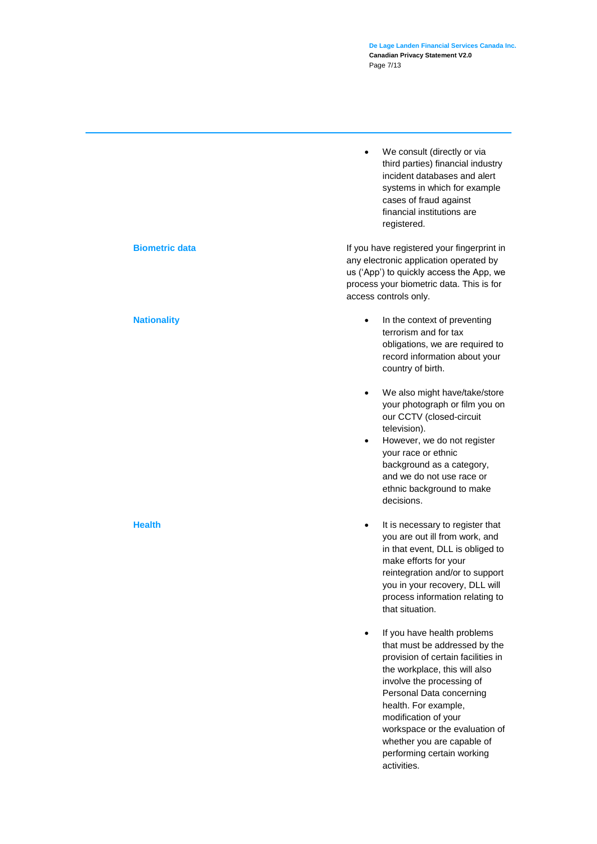**De Lage Landen Financial Services Canada Inc. Canadian Privacy Statement V2.0** Page 7/13

• We consult (directly or via third parties) financial industry incident databases and alert systems in which for example cases of fraud against financial institutions are registered.

**Biometric data** If you have registered your fingerprint in any electronic application operated by us ('App') to quickly access the App, we process your biometric data. This is for access controls only.

- **Nationality Nationality 1 In the context of preventing** terrorism and for tax obligations, we are required to record information about your country of birth.
	- We also might have/take/store your photograph or film you on our CCTV (closed-circuit television).
	- However, we do not register your race or ethnic background as a category, and we do not use race or ethnic background to make decisions.
- **Health It is necessary to register that** you are out ill from work, and in that event, DLL is obliged to make efforts for your reintegration and/or to support you in your recovery, DLL will process information relating to that situation.
	- If you have health problems that must be addressed by the provision of certain facilities in the workplace, this will also involve the processing of Personal Data concerning health. For example, modification of your workspace or the evaluation of whether you are capable of performing certain working activities.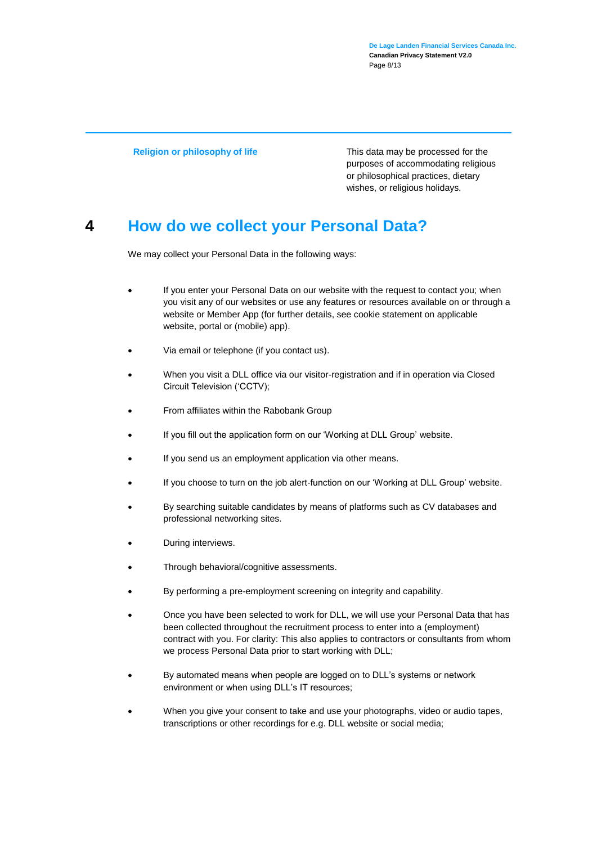**De Lage Landen Financial Services Canada Inc. Canadian Privacy Statement V2.0** Page 8/13

**Religion or philosophy of life** This data may be processed for the purposes of accommodating religious or philosophical practices, dietary wishes, or religious holidays*.* 

### **4 How do we collect your Personal Data?**

We may collect your Personal Data in the following ways:

- If you enter your Personal Data on our website with the request to contact you; when you visit any of our websites or use any features or resources available on or through a website or Member App (for further details, see cookie statement on applicable website, portal or (mobile) app).
- Via email or telephone (if you contact us).
- When you visit a DLL office via our visitor-registration and if in operation via Closed Circuit Television ('CCTV);
- From affiliates within the Rabobank Group
- If you fill out the application form on our 'Working at DLL Group' website.
- If you send us an employment application via other means.
- If you choose to turn on the job alert-function on our 'Working at DLL Group' website.
- By searching suitable candidates by means of platforms such as CV databases and professional networking sites.
- During interviews.
- Through behavioral/cognitive assessments.
- By performing a pre-employment screening on integrity and capability.
- Once you have been selected to work for DLL, we will use your Personal Data that has been collected throughout the recruitment process to enter into a (employment) contract with you. For clarity: This also applies to contractors or consultants from whom we process Personal Data prior to start working with DLL;
- By automated means when people are logged on to DLL's systems or network environment or when using DLL's IT resources;
- When you give your consent to take and use your photographs, video or audio tapes, transcriptions or other recordings for e.g. DLL website or social media;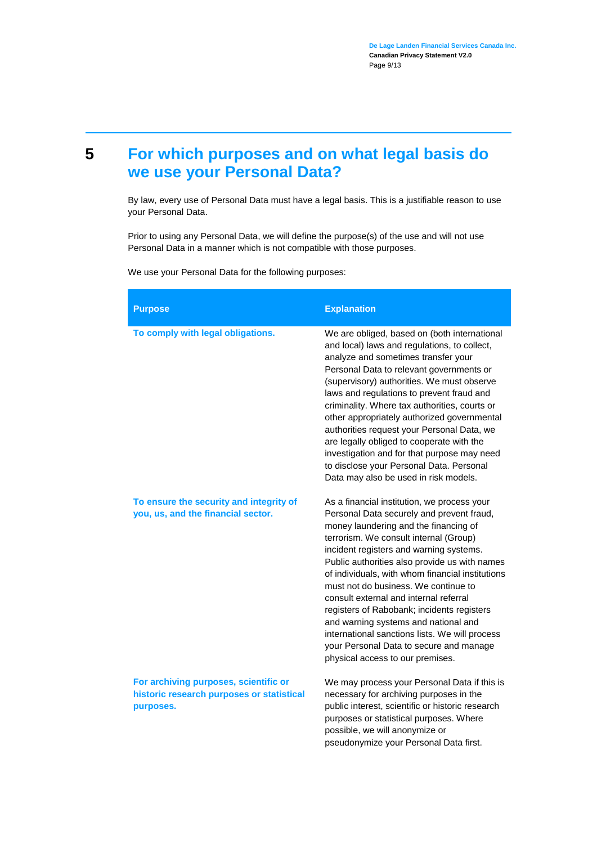### <span id="page-8-0"></span>**5 For which purposes and on what legal basis do we use your Personal Data?**

By law, every use of Personal Data must have a legal basis. This is a justifiable reason to use your Personal Data.

Prior to using any Personal Data, we will define the purpose(s) of the use and will not use Personal Data in a manner which is not compatible with those purposes.

We use your Personal Data for the following purposes:

| <b>Purpose</b>                                                                                  | <b>Explanation</b>                                                                                                                                                                                                                                                                                                                                                                                                                                                                                                                                                                                                                   |
|-------------------------------------------------------------------------------------------------|--------------------------------------------------------------------------------------------------------------------------------------------------------------------------------------------------------------------------------------------------------------------------------------------------------------------------------------------------------------------------------------------------------------------------------------------------------------------------------------------------------------------------------------------------------------------------------------------------------------------------------------|
| To comply with legal obligations.                                                               | We are obliged, based on (both international<br>and local) laws and regulations, to collect,<br>analyze and sometimes transfer your<br>Personal Data to relevant governments or<br>(supervisory) authorities. We must observe<br>laws and regulations to prevent fraud and<br>criminality. Where tax authorities, courts or<br>other appropriately authorized governmental<br>authorities request your Personal Data, we<br>are legally obliged to cooperate with the<br>investigation and for that purpose may need<br>to disclose your Personal Data. Personal<br>Data may also be used in risk models.                            |
| To ensure the security and integrity of<br>you, us, and the financial sector.                   | As a financial institution, we process your<br>Personal Data securely and prevent fraud,<br>money laundering and the financing of<br>terrorism. We consult internal (Group)<br>incident registers and warning systems.<br>Public authorities also provide us with names<br>of individuals, with whom financial institutions<br>must not do business. We continue to<br>consult external and internal referral<br>registers of Rabobank; incidents registers<br>and warning systems and national and<br>international sanctions lists. We will process<br>your Personal Data to secure and manage<br>physical access to our premises. |
| For archiving purposes, scientific or<br>historic research purposes or statistical<br>purposes. | We may process your Personal Data if this is<br>necessary for archiving purposes in the<br>public interest, scientific or historic research<br>purposes or statistical purposes. Where<br>possible, we will anonymize or<br>pseudonymize your Personal Data first.                                                                                                                                                                                                                                                                                                                                                                   |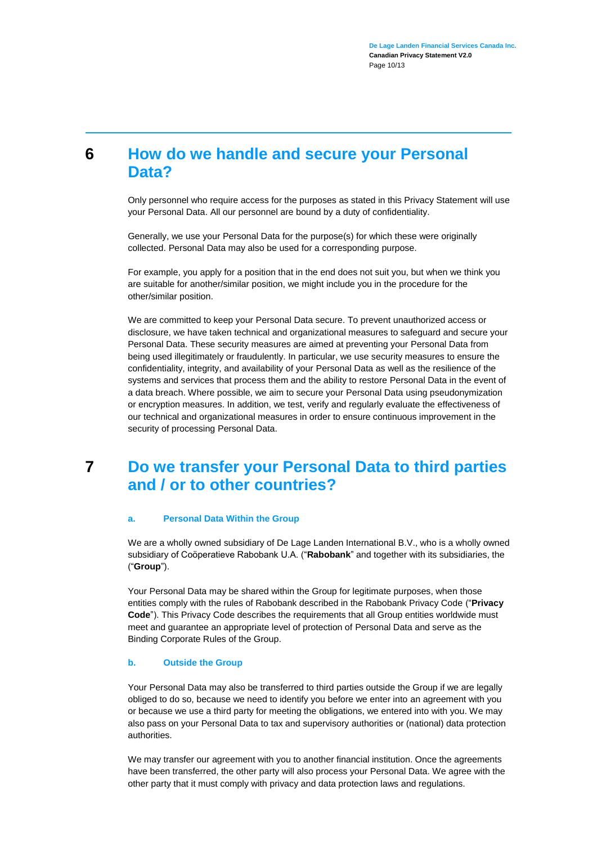#### <span id="page-9-0"></span>**6 How do we handle and secure your Personal Data?**

Only personnel who require access for the purposes as stated in this Privacy Statement will use your Personal Data. All our personnel are bound by a duty of confidentiality.

Generally, we use your Personal Data for the purpose(s) for which these were originally collected. Personal Data may also be used for a corresponding purpose.

For example, you apply for a position that in the end does not suit you, but when we think you are suitable for another/similar position, we might include you in the procedure for the other/similar position.

We are committed to keep your Personal Data secure. To prevent unauthorized access or disclosure, we have taken technical and organizational measures to safeguard and secure your Personal Data. These security measures are aimed at preventing your Personal Data from being used illegitimately or fraudulently. In particular, we use security measures to ensure the confidentiality, integrity, and availability of your Personal Data as well as the resilience of the systems and services that process them and the ability to restore Personal Data in the event of a data breach. Where possible, we aim to secure your Personal Data using pseudonymization or encryption measures. In addition, we test, verify and regularly evaluate the effectiveness of our technical and organizational measures in order to ensure continuous improvement in the security of processing Personal Data.

#### <span id="page-9-1"></span>**7 Do we transfer your Personal Data to third parties and / or to other countries?**

#### **a. Personal Data Within the Group**

We are a wholly owned subsidiary of De Lage Landen International B.V., who is a wholly owned subsidiary of Coöperatieve Rabobank U.A. ("**Rabobank**" and together with its subsidiaries, the ("**Group**").

Your Personal Data may be shared within the Group for legitimate purposes, when those entities comply with the rules of Rabobank described in the Rabobank Privacy Code ("**Privacy Code**"). This Privacy Code describes the requirements that all Group entities worldwide must meet and guarantee an appropriate level of protection of Personal Data and serve as the Binding Corporate Rules of the Group.

#### **b. Outside the Group**

Your Personal Data may also be transferred to third parties outside the Group if we are legally obliged to do so, because we need to identify you before we enter into an agreement with you or because we use a third party for meeting the obligations, we entered into with you. We may also pass on your Personal Data to tax and supervisory authorities or (national) data protection authorities.

We may transfer our agreement with you to another financial institution. Once the agreements have been transferred, the other party will also process your Personal Data. We agree with the other party that it must comply with privacy and data protection laws and regulations.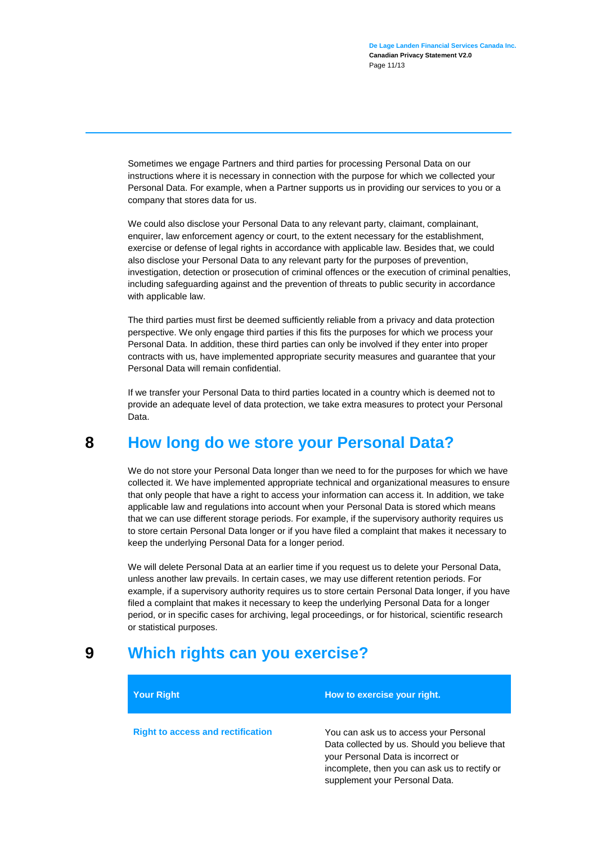Sometimes we engage Partners and third parties for processing Personal Data on our instructions where it is necessary in connection with the purpose for which we collected your Personal Data. For example, when a Partner supports us in providing our services to you or a company that stores data for us.

We could also disclose your Personal Data to any relevant party, claimant, complainant, enquirer, law enforcement agency or court, to the extent necessary for the establishment, exercise or defense of legal rights in accordance with applicable law. Besides that, we could also disclose your Personal Data to any relevant party for the purposes of prevention, investigation, detection or prosecution of criminal offences or the execution of criminal penalties, including safeguarding against and the prevention of threats to public security in accordance with applicable law.

The third parties must first be deemed sufficiently reliable from a privacy and data protection perspective. We only engage third parties if this fits the purposes for which we process your Personal Data. In addition, these third parties can only be involved if they enter into proper contracts with us, have implemented appropriate security measures and guarantee that your Personal Data will remain confidential.

If we transfer your Personal Data to third parties located in a country which is deemed not to provide an adequate level of data protection, we take extra measures to protect your Personal Data.

#### **8 How long do we store your Personal Data?**

<span id="page-10-0"></span>We do not store your Personal Data longer than we need to for the purposes for which we have collected it. We have implemented appropriate technical and organizational measures to ensure that only people that have a right to access your information can access it. In addition, we take applicable law and regulations into account when your Personal Data is stored which means that we can use different storage periods. For example, if the supervisory authority requires us to store certain Personal Data longer or if you have filed a complaint that makes it necessary to keep the underlying Personal Data for a longer period.

We will delete Personal Data at an earlier time if you request us to delete your Personal Data, unless another law prevails. In certain cases, we may use different retention periods. For example, if a supervisory authority requires us to store certain Personal Data longer, if you have filed a complaint that makes it necessary to keep the underlying Personal Data for a longer period, or in specific cases for archiving, legal proceedings, or for historical, scientific research or statistical purposes.

#### **9 Which rights can you exercise?**

<span id="page-10-1"></span>

| <b>Your Right</b>                        | How to exercise your right.                                                                                                                                                                                      |
|------------------------------------------|------------------------------------------------------------------------------------------------------------------------------------------------------------------------------------------------------------------|
| <b>Right to access and rectification</b> | You can ask us to access your Personal<br>Data collected by us. Should you believe that<br>your Personal Data is incorrect or<br>incomplete, then you can ask us to rectify or<br>supplement your Personal Data. |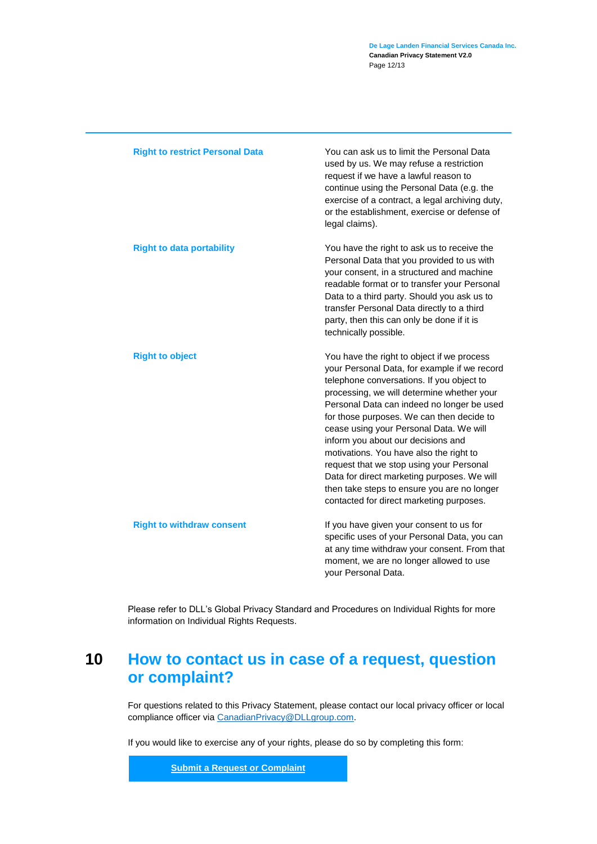| <b>Right to restrict Personal Data</b> | You can ask us to limit the Personal Data<br>used by us. We may refuse a restriction<br>request if we have a lawful reason to<br>continue using the Personal Data (e.g. the<br>exercise of a contract, a legal archiving duty,<br>or the establishment, exercise or defense of<br>legal claims).                                                                                                                                                                                                                                                                                                   |
|----------------------------------------|----------------------------------------------------------------------------------------------------------------------------------------------------------------------------------------------------------------------------------------------------------------------------------------------------------------------------------------------------------------------------------------------------------------------------------------------------------------------------------------------------------------------------------------------------------------------------------------------------|
| <b>Right to data portability</b>       | You have the right to ask us to receive the<br>Personal Data that you provided to us with<br>your consent, in a structured and machine<br>readable format or to transfer your Personal<br>Data to a third party. Should you ask us to<br>transfer Personal Data directly to a third<br>party, then this can only be done if it is<br>technically possible.                                                                                                                                                                                                                                         |
| <b>Right to object</b>                 | You have the right to object if we process<br>your Personal Data, for example if we record<br>telephone conversations. If you object to<br>processing, we will determine whether your<br>Personal Data can indeed no longer be used<br>for those purposes. We can then decide to<br>cease using your Personal Data. We will<br>inform you about our decisions and<br>motivations. You have also the right to<br>request that we stop using your Personal<br>Data for direct marketing purposes. We will<br>then take steps to ensure you are no longer<br>contacted for direct marketing purposes. |
| <b>Right to withdraw consent</b>       | If you have given your consent to us for<br>specific uses of your Personal Data, you can<br>at any time withdraw your consent. From that<br>moment, we are no longer allowed to use<br>your Personal Data.                                                                                                                                                                                                                                                                                                                                                                                         |

Please refer to DLL's Global Privacy Standard and Procedures on Individual Rights for more information on Individual Rights Requests.

### <span id="page-11-0"></span>**10 How to contact us in case of a request, question or complaint?**

For questions related to this Privacy Statement, please contact our local privacy officer or local compliance officer vi[a CanadianPrivacy@DLLgroup.com.](mailto:CanadianPrivacy@DLLgroup.com)

If you would like to exercise any of your rights, please do so by completing this form:

**[Submit a Request or Complaint](https://privacyportal-de.onetrust.com/webform/4c656190-7a88-4118-8ba1-357d94108f4e/e31fb72c-9e1b-491d-b81d-58b50065a86d)**